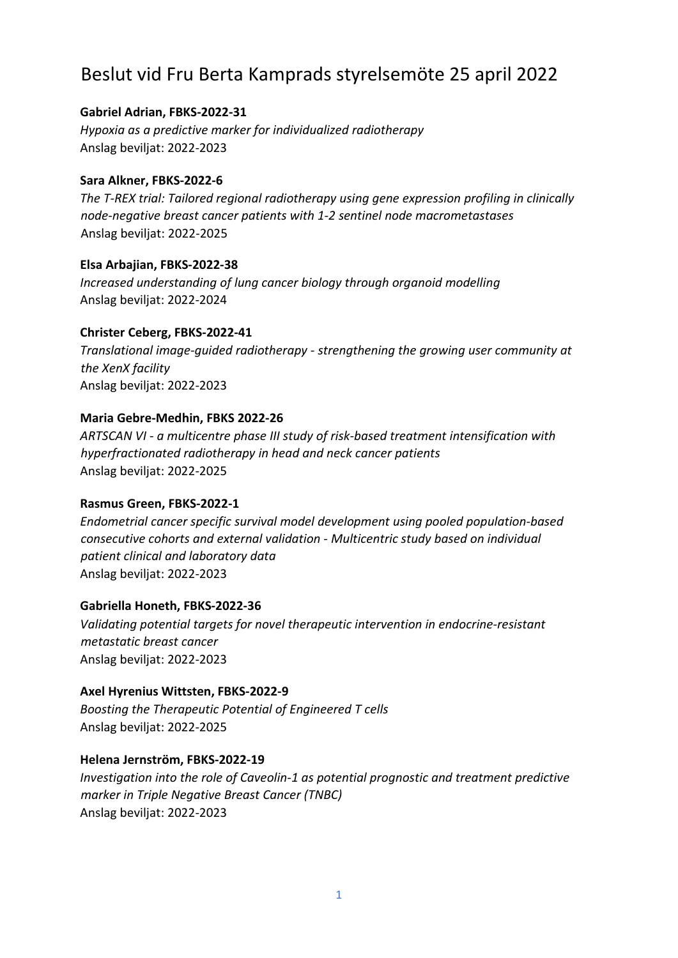# Beslut vid Fru Berta Kamprads styrelsemöte 25 april 2022

# **Gabriel Adrian, FBKS-2022-31**

*Hypoxia as a predictive marker for individualized radiotherapy* Anslag beviljat: 2022-2023

# **Sara Alkner, FBKS-2022-6**

*The T-REX trial: Tailored regional radiotherapy using gene expression profiling in clinically node-negative breast cancer patients with 1-2 sentinel node macrometastases* Anslag beviljat: 2022-2025

# **Elsa Arbajian, FBKS-2022-38**

*Increased understanding of lung cancer biology through organoid modelling* Anslag beviljat: 2022-2024

# **Christer Ceberg, FBKS-2022-41**

*Translational image-guided radiotherapy - strengthening the growing user community at the XenX facility* Anslag beviljat: 2022-2023

# **Maria Gebre-Medhin, FBKS 2022-26**

*ARTSCAN VI - a multicentre phase III study of risk-based treatment intensification with hyperfractionated radiotherapy in head and neck cancer patients* Anslag beviljat: 2022-2025

# **Rasmus Green, FBKS-2022-1**

*Endometrial cancer specific survival model development using pooled population-based consecutive cohorts and external validation - Multicentric study based on individual patient clinical and laboratory data* Anslag beviljat: 2022-2023

# **Gabriella Honeth, FBKS-2022-36**

*Validating potential targets for novel therapeutic intervention in endocrine-resistant metastatic breast cancer* Anslag beviljat: 2022-2023

# **Axel Hyrenius Wittsten, FBKS-2022-9**

*Boosting the Therapeutic Potential of Engineered T cells* Anslag beviljat: 2022-2025

# **Helena Jernström, FBKS-2022-19**

*Investigation into the role of Caveolin-1 as potential prognostic and treatment predictive marker in Triple Negative Breast Cancer (TNBC)* Anslag beviljat: 2022-2023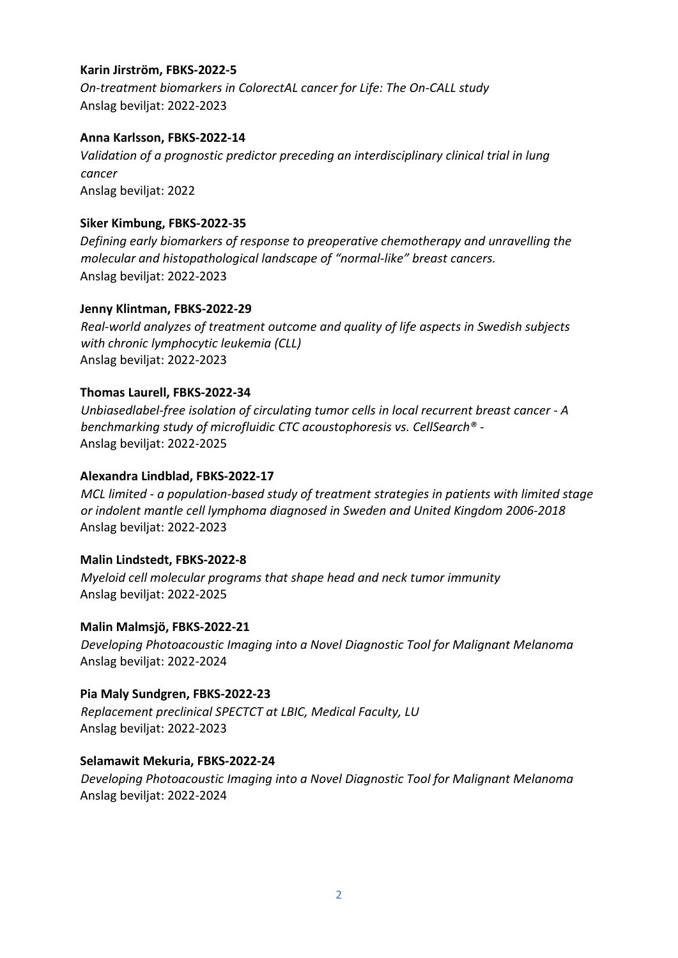## **Karin Jirström, FBKS-2022-5**

*On-treatment biomarkers in ColorectAL cancer for Life: The On-CALL study* Anslag beviljat: 2022-2023

## **Anna Karlsson, FBKS-2022-14**

*Validation of a prognostic predictor preceding an interdisciplinary clinical trial in lung cancer* Anslag beviljat: 2022

## **Siker Kimbung, FBKS-2022-35**

*Defining early biomarkers of response to preoperative chemotherapy and unravelling the molecular and histopathological landscape of "normal-like" breast cancers.* Anslag beviljat: 2022-2023

## **Jenny Klintman, FBKS-2022-29**

*Real-world analyzes of treatment outcome and quality of life aspects in Swedish subjects with chronic lymphocytic leukemia (CLL)* Anslag beviljat: 2022-2023

## **Thomas Laurell, FBKS-2022-34**

*Unbiasedlabel-free isolation of circulating tumor cells in local recurrent breast cancer - A benchmarking study of microfluidic CTC acoustophoresis vs. CellSearch® -* Anslag beviljat: 2022-2025

## **Alexandra Lindblad, FBKS-2022-17**

*MCL limited - a population-based study of treatment strategies in patients with limited stage or indolent mantle cell lymphoma diagnosed in Sweden and United Kingdom 2006-2018* Anslag beviljat: 2022-2023

#### **Malin Lindstedt, FBKS-2022-8**

*Myeloid cell molecular programs that shape head and neck tumor immunity* Anslag beviljat: 2022-2025

#### **Malin Malmsjö, FBKS-2022-21**

*Developing Photoacoustic Imaging into a Novel Diagnostic Tool for Malignant Melanoma* Anslag beviljat: 2022-2024

# **Pia Maly Sundgren, FBKS-2022-23**

*Replacement preclinical SPECTCT at LBIC, Medical Faculty, LU* Anslag beviljat: 2022-2023

#### **Selamawit Mekuria, FBKS-2022-24**

*Developing Photoacoustic Imaging into a Novel Diagnostic Tool for Malignant Melanoma* Anslag beviljat: 2022-2024